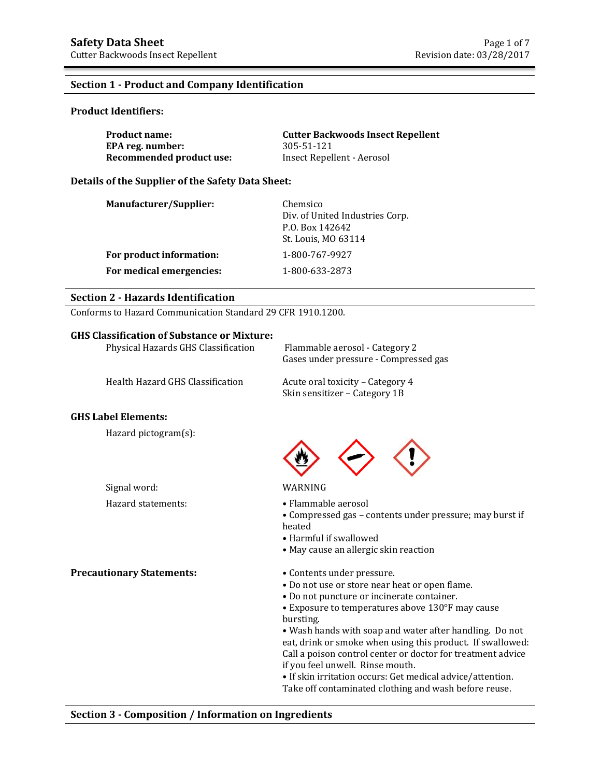## **Section 1 - Product and Company Identification**

#### **Product Identifiers:**

| <b>Product name:</b>     | <b>Cutter Backwoods Insect Repellent</b> |
|--------------------------|------------------------------------------|
| EPA reg. number:         | 305-51-121                               |
| Recommended product use: | Insect Repellent - Aerosol               |

#### **Details of the Supplier of the Safety Data Sheet:**

| <b>Manufacturer/Supplier:</b> | Chemsico<br>Div. of United Industries Corp.<br>P.O. Box 142642<br>St. Louis, MO 63114 |
|-------------------------------|---------------------------------------------------------------------------------------|
| For product information:      | 1-800-767-9927                                                                        |
| For medical emergencies:      | 1-800-633-2873                                                                        |

# **Section 2 - Hazards Identification**

Conforms to Hazard Communication Standard 29 CFR 1910.1200.

## **GHS Classification of Substance or Mixture:**

| Physical Hazards GHS Classification | Flammable aerosol - Category 2<br>Gases under pressure - Compressed gas |
|-------------------------------------|-------------------------------------------------------------------------|
| Health Hazard GHS Classification    | Acute oral toxicity – Category 4<br>Skin sensitizer - Category 1B       |
|                                     |                                                                         |

## **GHS Label Elements:**

Hazard pictogram(s):

Signal word: WARNING

**Precautionary Statements:** • Contents under pressure.

- Hazard statements: Flammable aerosol
	- Compressed gas contents under pressure; may burst if heated
	- Harmful if swallowed
	- May cause an allergic skin reaction
	-
	- Do not use or store near heat or open flame.
	- Do not puncture or incinerate container.

• Exposure to temperatures above 130°F may cause bursting.

• Wash hands with soap and water after handling. Do not eat, drink or smoke when using this product. If swallowed: Call a poison control center or doctor for treatment advice if you feel unwell. Rinse mouth.

• If skin irritation occurs: Get medical advice/attention. Take off contaminated clothing and wash before reuse.

#### **Section 3 - Composition / Information on Ingredients**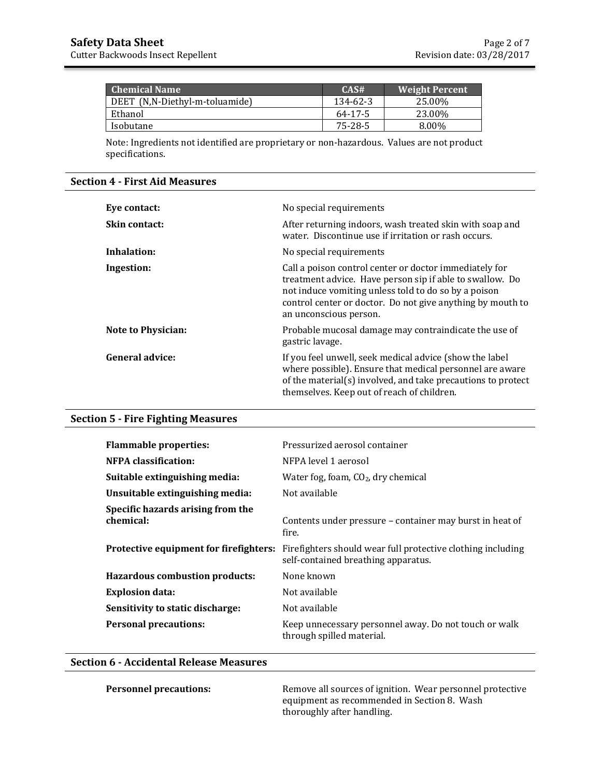| <b>Chemical Name</b>           | CAS#     | <b>Weight Percent</b> |
|--------------------------------|----------|-----------------------|
| DEET (N,N-Diethyl-m-toluamide) | 134-62-3 | 25.00%                |
| Ethanol                        | 64-17-5  | 23.00%                |
| Isobutane                      | 75-28-5  | 8.00%                 |

Note: Ingredients not identified are proprietary or non-hazardous. Values are not product specifications.

#### **Section 4 - First Aid Measures**

| Eye contact:              | No special requirements                                                                                                                                                                                                                                            |
|---------------------------|--------------------------------------------------------------------------------------------------------------------------------------------------------------------------------------------------------------------------------------------------------------------|
| Skin contact:             | After returning indoors, wash treated skin with soap and<br>water. Discontinue use if irritation or rash occurs.                                                                                                                                                   |
| Inhalation:               | No special requirements                                                                                                                                                                                                                                            |
| Ingestion:                | Call a poison control center or doctor immediately for<br>treatment advice. Have person sip if able to swallow. Do<br>not induce vomiting unless told to do so by a poison<br>control center or doctor. Do not give anything by mouth to<br>an unconscious person. |
| <b>Note to Physician:</b> | Probable mucosal damage may contraindicate the use of<br>gastric lavage.                                                                                                                                                                                           |
| General advice:           | If you feel unwell, seek medical advice (show the label<br>where possible). Ensure that medical personnel are aware<br>of the material(s) involved, and take precautions to protect<br>themselves. Keep out of reach of children.                                  |

# **Section 5 - Fire Fighting Measures**

| <b>Flammable properties:</b>                   | Pressurized aerosol container                                                                      |
|------------------------------------------------|----------------------------------------------------------------------------------------------------|
| <b>NFPA</b> classification:                    | NFPA level 1 aerosol                                                                               |
| Suitable extinguishing media:                  | Water fog, foam, $CO2$ , dry chemical                                                              |
| Unsuitable extinguishing media:                | Not available                                                                                      |
| Specific hazards arising from the<br>chemical: | Contents under pressure – container may burst in heat of<br>fire.                                  |
| Protective equipment for firefighters:         | Firefighters should wear full protective clothing including<br>self-contained breathing apparatus. |
| <b>Hazardous combustion products:</b>          | None known                                                                                         |
| <b>Explosion data:</b>                         | Not available                                                                                      |
| Sensitivity to static discharge:               | Not available                                                                                      |
| <b>Personal precautions:</b>                   | Keep unnecessary personnel away. Do not touch or walk<br>through spilled material.                 |

# **Section 6 - Accidental Release Measures**

**Personnel precautions:** Remove all sources of ignition. Wear personnel protective equipment as recommended in Section 8. Wash thoroughly after handling.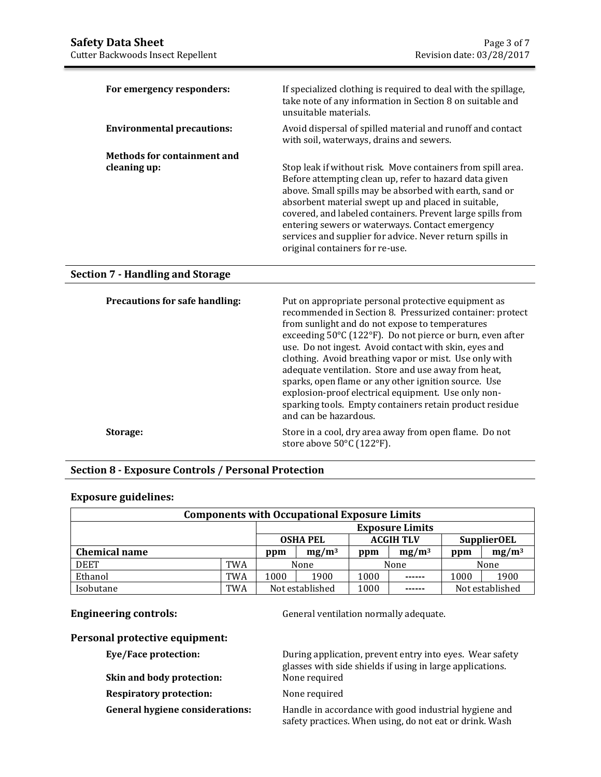| For emergency responders:                   | If specialized clothing is required to deal with the spillage,<br>take note of any information in Section 8 on suitable and<br>unsuitable materials.                                                                                                                                                                                                                                                                                                    |
|---------------------------------------------|---------------------------------------------------------------------------------------------------------------------------------------------------------------------------------------------------------------------------------------------------------------------------------------------------------------------------------------------------------------------------------------------------------------------------------------------------------|
| <b>Environmental precautions:</b>           | Avoid dispersal of spilled material and runoff and contact<br>with soil, waterways, drains and sewers.                                                                                                                                                                                                                                                                                                                                                  |
| Methods for containment and<br>cleaning up: | Stop leak if without risk. Move containers from spill area.<br>Before attempting clean up, refer to hazard data given<br>above. Small spills may be absorbed with earth, sand or<br>absorbent material swept up and placed in suitable,<br>covered, and labeled containers. Prevent large spills from<br>entering sewers or waterways. Contact emergency<br>services and supplier for advice. Never return spills in<br>original containers for re-use. |

# **Section 7 - Handling and Storage**

| <b>Precautions for safe handling:</b> | Put on appropriate personal protective equipment as<br>recommended in Section 8. Pressurized container: protect<br>from sunlight and do not expose to temperatures<br>exceeding 50°C (122°F). Do not pierce or burn, even after<br>use. Do not ingest. Avoid contact with skin, eyes and<br>clothing. Avoid breathing vapor or mist. Use only with<br>adequate ventilation. Store and use away from heat,<br>sparks, open flame or any other ignition source. Use<br>explosion-proof electrical equipment. Use only non-<br>sparking tools. Empty containers retain product residue<br>and can be hazardous. |
|---------------------------------------|--------------------------------------------------------------------------------------------------------------------------------------------------------------------------------------------------------------------------------------------------------------------------------------------------------------------------------------------------------------------------------------------------------------------------------------------------------------------------------------------------------------------------------------------------------------------------------------------------------------|
| Storage:                              | Store in a cool, dry area away from open flame. Do not<br>store above $50^{\circ}$ C (122 $^{\circ}$ F).                                                                                                                                                                                                                                                                                                                                                                                                                                                                                                     |

# **Section 8 - Exposure Controls / Personal Protection**

## **Exposure guidelines:**

| <b>Components with Occupational Exposure Limits</b> |                 |                                                           |      |          |        |          |                 |
|-----------------------------------------------------|-----------------|-----------------------------------------------------------|------|----------|--------|----------|-----------------|
|                                                     |                 | <b>Exposure Limits</b>                                    |      |          |        |          |                 |
|                                                     |                 | <b>ACGIH TLV</b><br><b>SupplierOEL</b><br><b>OSHA PEL</b> |      |          |        |          |                 |
| <b>Chemical name</b>                                | $mg/m^3$<br>ppm |                                                           | ppm  | $mg/m^3$ | ppm    | $mg/m^3$ |                 |
| <b>DEET</b>                                         | TWA             |                                                           | None |          | None   |          | None            |
| Ethanol                                             | TWA             | 1000                                                      | 1900 | 1000     | ------ | 1000     | 1900            |
| Isobutane                                           | TWA             | Not established                                           |      | 1000     | ------ |          | Not established |

**Engineering controls: General ventilation normally adequate.** 

### **Personal protective equipment:**

**Skin and body protection:** 

**Respiratory protection:** None required

**Eye/Face protection:** During application, prevent entry into eyes. Wear safety glasses with side shields if using in large applications.

**General hygiene considerations:** Handle in accordance with good industrial hygiene and safety practices. When using, do not eat or drink. Wash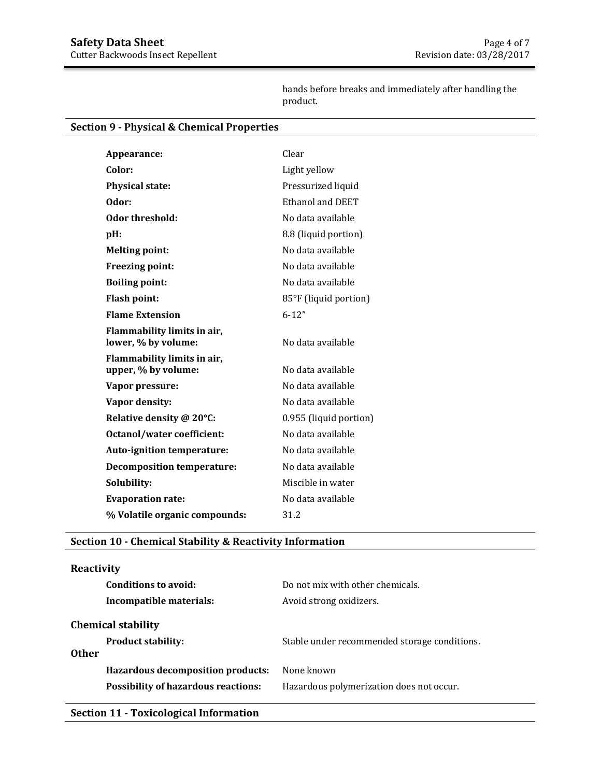hands before breaks and immediately after handling the product.

# **Section 9 - Physical & Chemical Properties**

| Appearance:                       | Clear                  |
|-----------------------------------|------------------------|
| Color:                            | Light yellow           |
| <b>Physical state:</b>            | Pressurized liquid     |
| Odor:                             | Ethanol and DEET       |
| Odor threshold:                   | No data available      |
| pH:                               | 8.8 (liquid portion)   |
| <b>Melting point:</b>             | No data available      |
| <b>Freezing point:</b>            | No data available      |
| <b>Boiling point:</b>             | No data available      |
| <b>Flash point:</b>               | 85°F (liquid portion)  |
| <b>Flame Extension</b>            | $6 - 12"$              |
| Flammability limits in air,       |                        |
| lower, % by volume:               | No data available      |
| Flammability limits in air,       |                        |
| upper, % by volume:               | No data available      |
| Vapor pressure:                   | No data available      |
| Vapor density:                    | No data available      |
| Relative density @ 20°C:          | 0.955 (liquid portion) |
| <b>Octanol/water coefficient:</b> | No data available      |
| Auto-ignition temperature:        | No data available      |
| <b>Decomposition temperature:</b> | No data available      |
| Solubility:                       | Miscible in water      |
| <b>Evaporation rate:</b>          | No data available      |
| % Volatile organic compounds:     | 31.2                   |

# **Section 10 - Chemical Stability & Reactivity Information**

# **Reactivity**

|              | <b>Conditions to avoid:</b>                                                            | Do not mix with other chemicals.                       |
|--------------|----------------------------------------------------------------------------------------|--------------------------------------------------------|
|              | Incompatible materials:                                                                | Avoid strong oxidizers.                                |
| <b>Other</b> | <b>Chemical stability</b><br><b>Product stability:</b>                                 | Stable under recommended storage conditions.           |
|              | <b>Hazardous decomposition products:</b><br><b>Possibility of hazardous reactions:</b> | None known<br>Hazardous polymerization does not occur. |

# **Section 11 - Toxicological Information**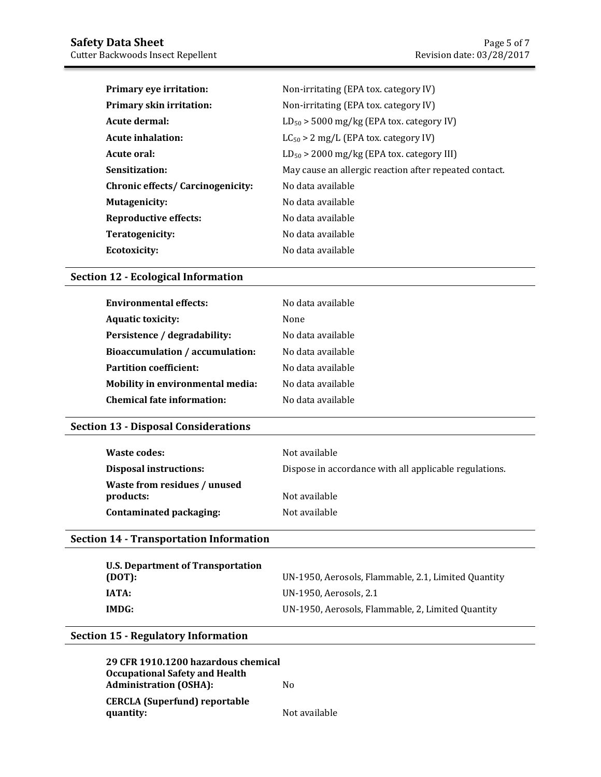| <b>Primary eye irritation:</b>    | Non-irritating (EPA tox. category IV)                  |
|-----------------------------------|--------------------------------------------------------|
| <b>Primary skin irritation:</b>   | Non-irritating (EPA tox. category IV)                  |
| Acute dermal:                     | $LD_{50}$ > 5000 mg/kg (EPA tox. category IV)          |
| Acute inhalation:                 | $LC_{50}$ > 2 mg/L (EPA tox. category IV)              |
| Acute oral:                       | $LD_{50}$ > 2000 mg/kg (EPA tox. category III)         |
| Sensitization:                    | May cause an allergic reaction after repeated contact. |
| Chronic effects/ Carcinogenicity: | No data available                                      |
| <b>Mutagenicity:</b>              | No data available                                      |
| <b>Reproductive effects:</b>      | No data available                                      |
| Teratogenicity:                   | No data available                                      |
| Ecotoxicity:                      | No data available                                      |

# **Section 12 - Ecological Information**

| No data available |
|-------------------|
| None              |
| No data available |
| No data available |
| No data available |
| No data available |
| No data available |
|                   |

## **Section 13 - Disposal Considerations**

| Waste codes:                  | Not available                                          |
|-------------------------------|--------------------------------------------------------|
| <b>Disposal instructions:</b> | Dispose in accordance with all applicable regulations. |
| Waste from residues / unused  |                                                        |
| products:                     | Not available                                          |
| Contaminated packaging:       | Not available                                          |

## **Section 14 - Transportation Information**

| U.S. Department of Transportation |                                                     |
|-----------------------------------|-----------------------------------------------------|
| (DOT):                            | UN-1950, Aerosols, Flammable, 2.1, Limited Quantity |
| IATA:                             | UN-1950. Aerosols. 2.1                              |
| IMDG:                             | UN-1950, Aerosols, Flammable, 2, Limited Quantity   |

# **Section 15 - Regulatory Information**

**29 CFR 1910.1200 hazardous chemical Occupational Safety and Health Administration (OSHA):** No **CERCLA (Superfund) reportable quantity:** Not available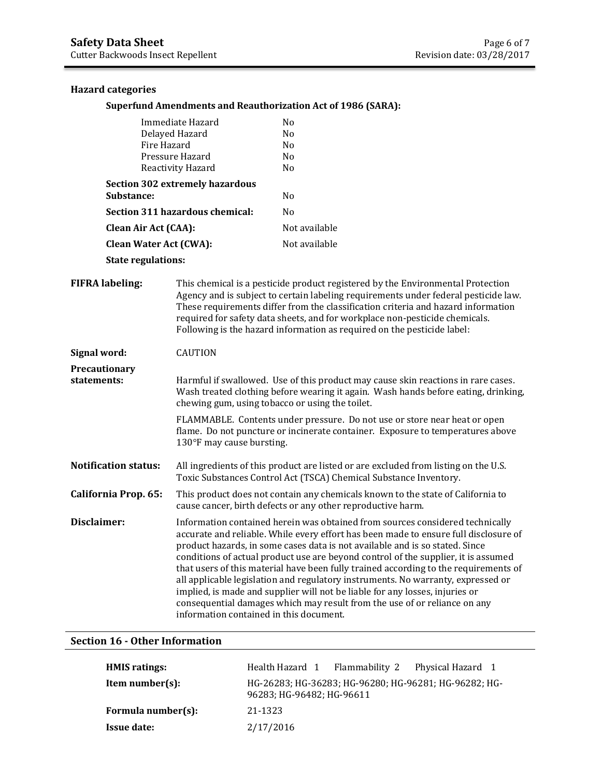### **Hazard categories**

#### **Superfund Amendments and Reauthorization Act of 1986 (SARA):**

| Immediate Hazard                | No             |
|---------------------------------|----------------|
| Delayed Hazard                  | No             |
| Fire Hazard                     | No             |
| Pressure Hazard                 | Nο             |
| Reactivity Hazard               | N <sub>0</sub> |
| Section 302 extremely hazardous |                |
| Substance:                      | No             |
| Section 311 hazardous chemical: | No             |
| Clean Air Act (CAA):            | Not available  |
| <b>Clean Water Act (CWA):</b>   | Not available  |
|                                 |                |

**State regulations:**

**FIFRA labeling:** This chemical is a pesticide product registered by the Environmental Protection Agency and is subject to certain labeling requirements under federal pesticide law. These requirements differ from the classification criteria and hazard information required for safety data sheets, and for workplace non-pesticide chemicals. Following is the hazard information as required on the pesticide label:

**Signal word:** CAUTION

**Precautionary** 

**statements:** Harmful if swallowed. Use of this product may cause skin reactions in rare cases. Wash treated clothing before wearing it again. Wash hands before eating, drinking, chewing gum, using tobacco or using the toilet.

> FLAMMABLE. Contents under pressure. Do not use or store near heat or open flame. Do not puncture or incinerate container. Exposure to temperatures above 130°F may cause bursting.

**Notification status:** All ingredients of this product are listed or are excluded from listing on the U.S. Toxic Substances Control Act (TSCA) Chemical Substance Inventory.

**California Prop. 65:** This product does not contain any chemicals known to the state of California to cause cancer, birth defects or any other reproductive harm.

**Disclaimer:** Information contained herein was obtained from sources considered technically accurate and reliable. While every effort has been made to ensure full disclosure of product hazards, in some cases data is not available and is so stated. Since conditions of actual product use are beyond control of the supplier, it is assumed that users of this material have been fully trained according to the requirements of all applicable legislation and regulatory instruments. No warranty, expressed or implied, is made and supplier will not be liable for any losses, injuries or consequential damages which may result from the use of or reliance on any information contained in this document.

#### **Section 16 - Other Information**

| <b>HMIS</b> ratings: | Flammability 2 Physical Hazard 1<br>Health Hazard 1                                |
|----------------------|------------------------------------------------------------------------------------|
| Item number $(s)$ :  | HG-26283; HG-36283; HG-96280; HG-96281; HG-96282; HG-<br>96283: HG-96482: HG-96611 |
| Formula number(s):   | 21-1323                                                                            |
| <b>Issue date:</b>   | 2/17/2016                                                                          |